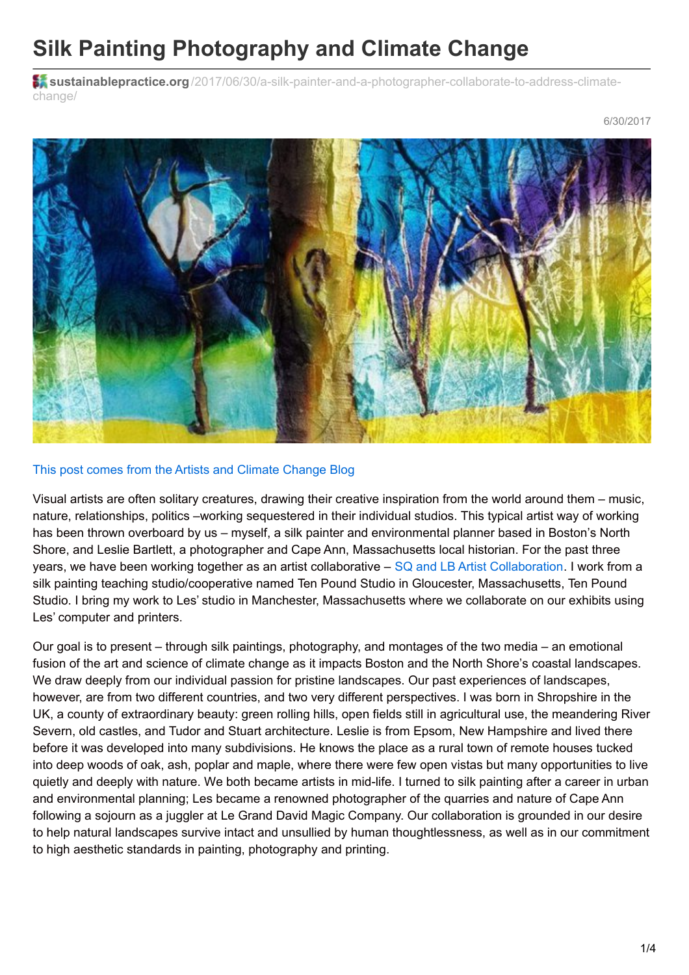## **Silk Painting Photography and Climate Change**

**s** sustainablepractice.org[/2017/06/30/a-silk-painter-and-a-photographer-collaborate-to-address-climate](http://www.sustainablepractice.org/2017/06/30/a-silk-painter-and-a-photographer-collaborate-to-address-climate-change/)change/



## This post comes from the Artists and Climate [Change](https://artistsandclimatechange.com/2017/06/26/a-silk-painter-and-a-photographer-collaborate-to-address-climate-change/) Blog

Visual artists are often solitary creatures, drawing their creative inspiration from the world around them – music, nature, relationships, politics –working sequestered in their individual studios. This typical artist way of working has been thrown overboard by us – myself, a silk painter and environmental planner based in Boston's North Shore, and Leslie Bartlett, a photographer and Cape Ann, Massachusetts local historian. For the past three years, we have been working together as an artist collaborative – SQ and LB Artist [Collaboration](http://www.artistcollaboration.net/). I work from a silk painting teaching studio/cooperative named Ten Pound Studio in Gloucester, Massachusetts, Ten Pound Studio. I bring my work to Les' studio in Manchester, Massachusetts where we collaborate on our exhibits using Les' computer and printers.

Our goal is to present – through silk paintings, photography, and montages of the two media – an emotional fusion of the art and science of climate change as it impacts Boston and the North Shore's coastal landscapes. We draw deeply from our individual passion for pristine landscapes. Our past experiences of landscapes, however, are from two different countries, and two very different perspectives. I was born in Shropshire in the UK, a county of extraordinary beauty: green rolling hills, open fields still in agricultural use, the meandering River Severn, old castles, and Tudor and Stuart architecture. Leslie is from Epsom, New Hampshire and lived there before it was developed into many subdivisions. He knows the place as a rural town of remote houses tucked into deep woods of oak, ash, poplar and maple, where there were few open vistas but many opportunities to live quietly and deeply with nature. We both became artists in mid-life. I turned to silk painting after a career in urban and environmental planning; Les became a renowned photographer of the quarries and nature of Cape Ann following a sojourn as a juggler at Le Grand David Magic Company. Our collaboration is grounded in our desire to help natural landscapes survive intact and unsullied by human thoughtlessness, as well as in our commitment to high aesthetic standards in painting, photography and printing.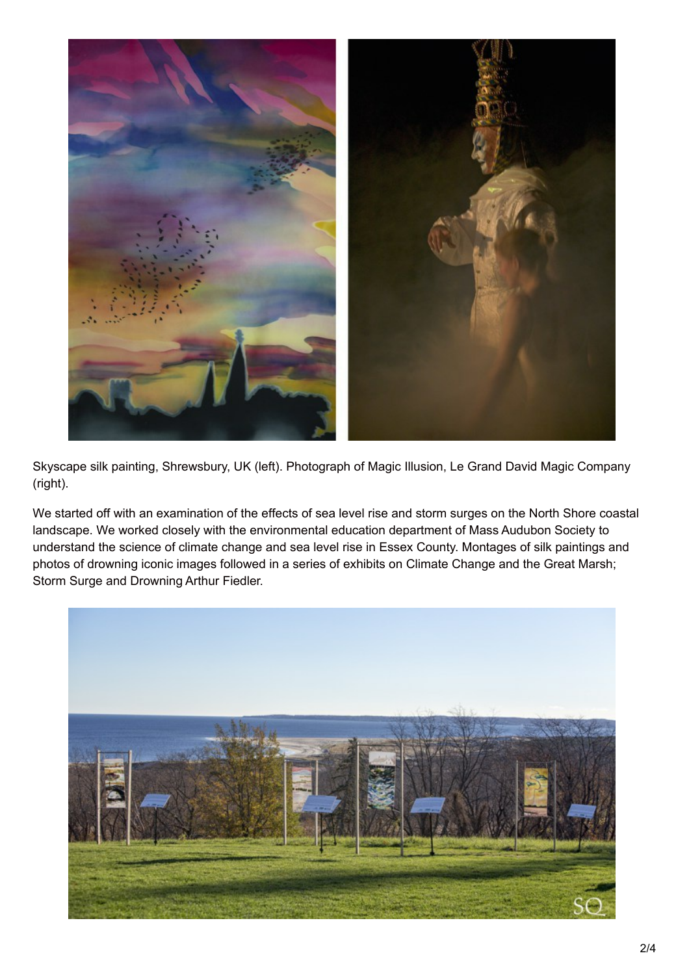

Skyscape silk painting, Shrewsbury, UK (left). Photograph of Magic Illusion, Le Grand David Magic Company (right).

We started off with an examination of the effects of sea level rise and storm surges on the North Shore coastal landscape. We worked closely with the environmental education department of Mass Audubon Society to understand the science of climate change and sea level rise in Essex County. Montages of silk paintings and photos of drowning iconic images followed in a series of exhibits on Climate Change and the Great Marsh; Storm Surge and Drowning Arthur Fiedler.

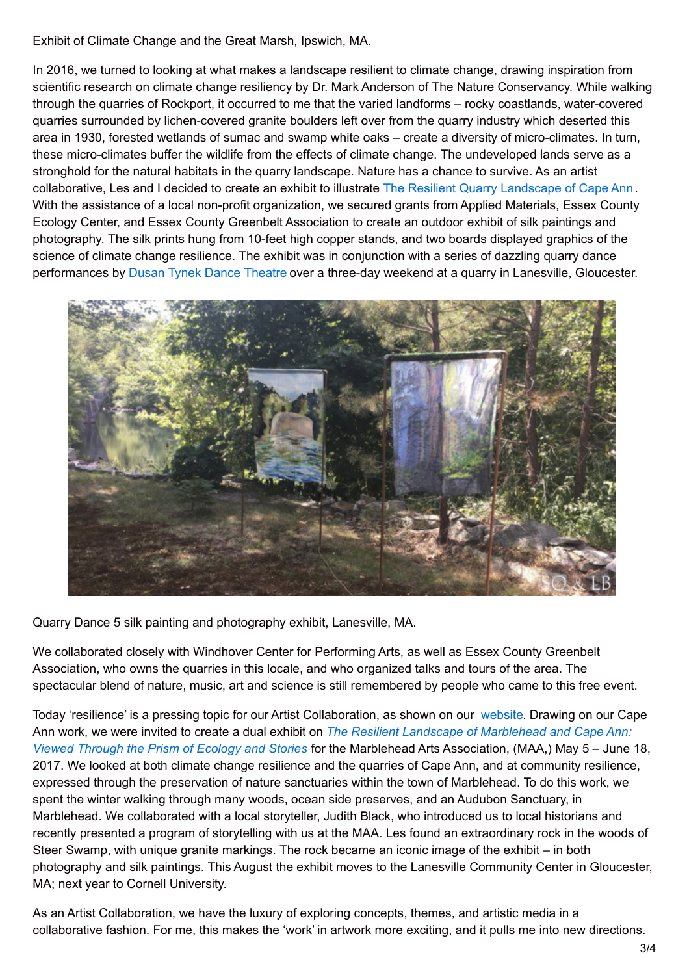Exhibit of Climate Change and the Great Marsh, Ipswich, MA.

In 2016, we turned to looking at what makes a landscape resilient to climate change, drawing inspiration from scientific research on climate change resiliency by Dr. Mark Anderson of The Nature Conservancy. While walking through the quarries of Rockport, it occurred to me that the varied landforms – rocky coastlands, water-covered quarries surrounded by lichen-covered granite boulders left over from the quarry industry which deserted this area in 1930, forested wetlands of sumac and swamp white oaks – create a diversity of micro-climates. In turn, these micro-climates buffer the wildlife from the effects of climate change. The undeveloped lands serve as a stronghold for the natural habitats in the quarry landscape. Nature has a chance to survive. As an artist collaborative, Les and I decided to create an exhibit to illustrate The Resilient Quarry [Landscape](http://www.resilientlandscape.com/capeannjuly2016.html) of Cape Ann. With the assistance of a local non-profit organization, we secured grants from Applied Materials, Essex County Ecology Center, and Essex County Greenbelt Association to create an outdoor exhibit of silk paintings and photography. The silk prints hung from 10-feet high copper stands, and two boards displayed graphics of the science of climate change resilience. The exhibit was in conjunction with a series of dazzling quarry dance performances by Dusan Tynek Dance [Theatre](http://www.dusantynek.org/) over a three-day weekend at a quarry in Lanesville, Gloucester.



Quarry Dance 5 silk painting and photography exhibit, Lanesville, MA.

We collaborated closely with Windhover Center for Performing Arts, as well as Essex County Greenbelt Association, who owns the quarries in this locale, and who organized talks and tours of the area. The spectacular blend of nature, music, art and science is still remembered by people who came to this free event.

Today 'resilience' is a pressing topic for our Artist Collaboration, as shown on our [website](http://www.resilientlandscape.com/). Drawing on our Cape Ann work, we were invited to create a dual exhibit on *The Resilient Landscape of [Marblehead](http://www.resilientlandscape.com/MAA2017.html) and Cape Ann: Viewed Through the Prism of Ecology and Stories* for the Marblehead Arts Association, (MAA,) May 5 – June 18, 2017. We looked at both climate change resilience and the quarries of Cape Ann, and at community resilience, expressed through the preservation of nature sanctuaries within the town of Marblehead. To do this work, we spent the winter walking through many woods, ocean side preserves, and an Audubon Sanctuary, in Marblehead. We collaborated with a local storyteller, Judith Black, who introduced us to local historians and recently presented a program of storytelling with us at the MAA. Les found an extraordinary rock in the woods of Steer Swamp, with unique granite markings. The rock became an iconic image of the exhibit – in both photography and silk paintings. This August the exhibit moves to the Lanesville Community Center in Gloucester, MA; next year to Cornell University.

As an Artist Collaboration, we have the luxury of exploring concepts, themes, and artistic media in a collaborative fashion. For me, this makes the 'work' in artwork more exciting, and it pulls me into new directions.